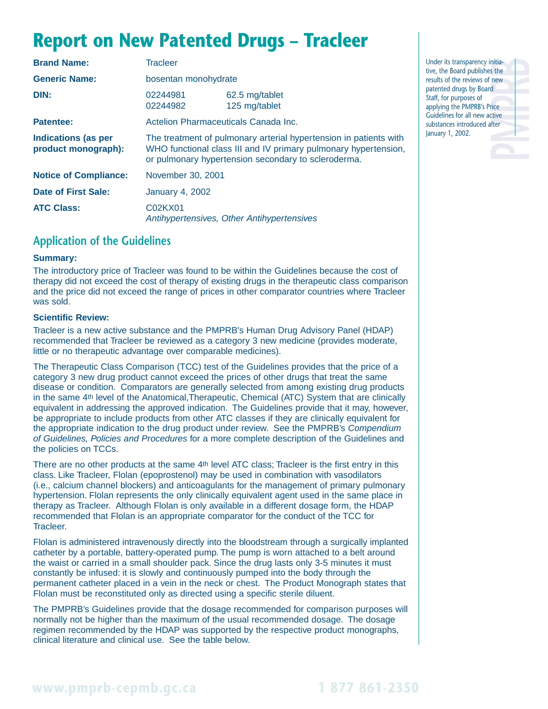# **Report on New Patented Drugs – Tracleer**

| <b>Brand Name:</b>                                | <b>Tracleer</b>                                                                                                                                                                             |                                 |  |
|---------------------------------------------------|---------------------------------------------------------------------------------------------------------------------------------------------------------------------------------------------|---------------------------------|--|
| <b>Generic Name:</b>                              | bosentan monohydrate                                                                                                                                                                        |                                 |  |
| DIN:                                              | 02244981<br>02244982                                                                                                                                                                        | 62.5 mg/tablet<br>125 mg/tablet |  |
| Patentee:                                         | Actelion Pharmaceuticals Canada Inc.                                                                                                                                                        |                                 |  |
| <b>Indications (as per</b><br>product monograph): | The treatment of pulmonary arterial hypertension in patients with<br>WHO functional class III and IV primary pulmonary hypertension,<br>or pulmonary hypertension secondary to scleroderma. |                                 |  |
| <b>Notice of Compliance:</b>                      | November 30, 2001                                                                                                                                                                           |                                 |  |
| Date of First Sale:                               | <b>January 4, 2002</b>                                                                                                                                                                      |                                 |  |
| <b>ATC Class:</b>                                 | C02KX01<br>Antihypertensives, Other Antihypertensives                                                                                                                                       |                                 |  |

### **Application of the Guidelines**

#### **Summary:**

The introductory price of Tracleer was found to be within the Guidelines because the cost of therapy did not exceed the cost of therapy of existing drugs in the therapeutic class comparison and the price did not exceed the range of prices in other comparator countries where Tracleer was sold.

#### **Scientific Review:**

Tracleer is a new active substance and the PMPRB's Human Drug Advisory Panel (HDAP) recommended that Tracleer be reviewed as a category 3 new medicine (provides moderate, little or no therapeutic advantage over comparable medicines).

The Therapeutic Class Comparison (TCC) test of the Guidelines provides that the price of a category 3 new drug product cannot exceed the prices of other drugs that treat the same disease or condition. Comparators are generally selected from among existing drug products in the same 4th level of the Anatomical,Therapeutic, Chemical (ATC) System that are clinically equivalent in addressing the approved indication. The Guidelines provide that it may, however, be appropriate to include products from other ATC classes if they are clinically equivalent for the appropriate indication to the drug product under review. See the PMPRB's Compendium of Guidelines, Policies and Procedures for a more complete description of the Guidelines and the policies on TCCs.

There are no other products at the same 4<sup>th</sup> level ATC class; Tracleer is the first entry in this class. Like Tracleer, Flolan (epoprostenol) may be used in combination with vasodilators (i.e., calcium channel blockers) and anticoagulants for the management of primary pulmonary hypertension. Flolan represents the only clinically equivalent agent used in the same place in therapy as Tracleer. Although Flolan is only available in a different dosage form, the HDAP recommended that Flolan is an appropriate comparator for the conduct of the TCC for Tracleer.

Flolan is administered intravenously directly into the bloodstream through a surgically implanted catheter by a portable, battery-operated pump. The pump is worn attached to a belt around the waist or carried in a small shoulder pack. Since the drug lasts only 3-5 minutes it must constantly be infused: it is slowly and continuously pumped into the body through the permanent catheter placed in a vein in the neck or chest. The Product Monograph states that Flolan must be reconstituted only as directed using a specific sterile diluent.

The PMPRB's Guidelines provide that the dosage recommended for comparison purposes will normally not be higher than the maximum of the usual recommended dosage. The dosage regimen recommended by the HDAP was supported by the respective product monographs, clinical literature and clinical use. See the table below.

nitia-<br>
s the<br>
d<br>
d<br>
d<br>
d<br>
d<br>
fice<br>
fiter<br>
fiter Under its transparency initiative, the Board publishes the results of the reviews of new patented drugs by Board Staff, for purposes of applying the PMPRB's Price Guidelines for all new active substances introduced after January 1, 2002.

## **www.pmprb-cepmb.gc.ca 1 877 861-2350**